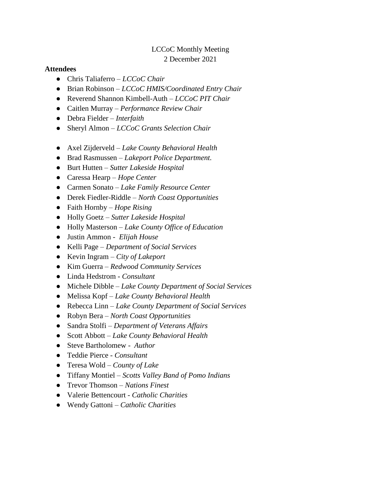# LCCoC Monthly Meeting 2 December 2021

## **Attendees**

- Chris Taliaferro *LCCoC Chair*
- Brian Robinson *LCCoC HMIS/Coordinated Entry Chair*
- Reverend Shannon Kimbell-Auth *LCCoC PIT Chair*
- Caitlen Murray *Performance Review Chair*
- Debra Fielder *Interfaith*
- Sheryl Almon *LCCoC Grants Selection Chair*
- Axel Zijderveld *Lake County Behavioral Health*
- Brad Rasmussen *Lakeport Police Department.*
- Burt Hutten *Sutter Lakeside Hospital*
- Caressa Hearp *Hope Center*
- Carmen Sonato *Lake Family Resource Center*
- Derek Fiedler-Riddle *North Coast Opportunities*
- Faith Hornby *Hope Rising*
- Holly Goetz *Sutter Lakeside Hospital*
- Holly Masterson *Lake County Office of Education*
- Justin Ammon *Elijah House*
- Kelli Page *Department of Social Services*
- Kevin Ingram *City of Lakeport*
- Kim Guerra *Redwood Community Services*
- Linda Hedstrom *Consultant*
- Michele Dibble *Lake County Department of Social Services*
- Melissa Kopf *Lake County Behavioral Health*
- Rebecca Linn *Lake County Department of Social Services*
- Robyn Bera *North Coast Opportunities*
- Sandra Stolfi *Department of Veterans Affairs*
- Scott Abbott *Lake County Behavioral Health*
- Steve Bartholomew *Author*
- Teddie Pierce *Consultant*
- Teresa Wold *County of Lake*
- Tiffany Montiel *Scotts Valley Band of Pomo Indians*
- Trevor Thomson *Nations Finest*
- Valerie Bettencourt *Catholic Charities*
- Wendy Gattoni *Catholic Charities*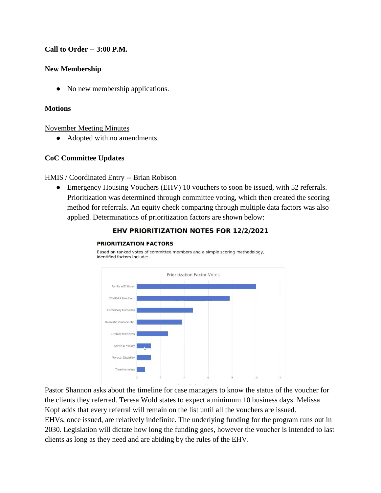# **Call to Order -- 3:00 P.M.**

## **New Membership**

• No new membership applications.

### **Motions**

#### November Meeting Minutes

• Adopted with no amendments.

## **CoC Committee Updates**

## HMIS / Coordinated Entry -- Brian Robison

**PRIORITIZATION FACTORS** 

• Emergency Housing Vouchers (EHV) 10 vouchers to soon be issued, with 52 referrals. Prioritization was determined through committee voting, which then created the scoring method for referrals. An equity check comparing through multiple data factors was also applied. Determinations of prioritization factors are shown below:



#### **EHV PRIORITIZATION NOTES FOR 12/2/2021**

the clients they referred. Teresa Wold states to expect a minimum 10 business days. Melissa Kopf adds that every referral will remain on the list until all the vouchers are issued. EHVs, once issued, are relatively indefinite. The underlying funding for the program runs out in 2030. Legislation will dictate how long the funding goes, however the voucher is intended to last clients as long as they need and are abiding by the rules of the EHV.

Based on ranked votes of committee members and a simple scoring methodology,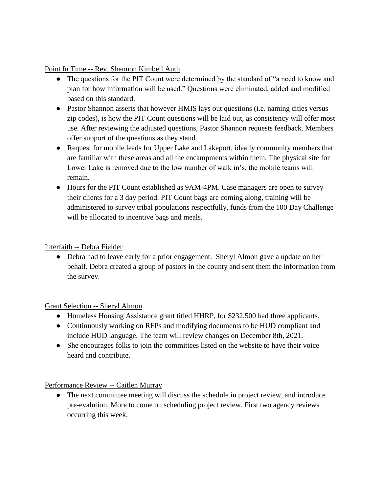Point In Time -- Rev. Shannon Kimbell Auth

- The questions for the PIT Count were determined by the standard of "a need to know and plan for how information will be used." Questions were eliminated, added and modified based on this standard.
- Pastor Shannon asserts that however HMIS lays out questions (i.e. naming cities versus zip codes), is how the PIT Count questions will be laid out, as consistency will offer most use. After reviewing the adjusted questions, Pastor Shannon requests feedback. Members offer support of the questions as they stand.
- Request for mobile leads for Upper Lake and Lakeport, ideally community members that are familiar with these areas and all the encampments within them. The physical site for Lower Lake is removed due to the low number of walk in's, the mobile teams will remain.
- Hours for the PIT Count established as 9AM-4PM. Case managers are open to survey their clients for a 3 day period. PIT Count bags are coming along, training will be administered to survey tribal populations respectfully, funds from the 100 Day Challenge will be allocated to incentive bags and meals.

# Interfaith -- Debra Fielder

• Debra had to leave early for a prior engagement. Sheryl Almon gave a update on her behalf. Debra created a group of pastors in the county and sent them the information from the survey.

# Grant Selection -- Sheryl Almon

- Homeless Housing Assistance grant titled HHRP, for \$232,500 had three applicants.
- Continuously working on RFPs and modifying documents to be HUD compliant and include HUD language. The team will review changes on December 8th, 2021.
- She encourages folks to join the committees listed on the website to have their voice heard and contribute.

Performance Review -- Caitlen Murray

• The next committee meeting will discuss the schedule in project review, and introduce pre-evalution. More to come on scheduling project review. First two agency reviews occurring this week.